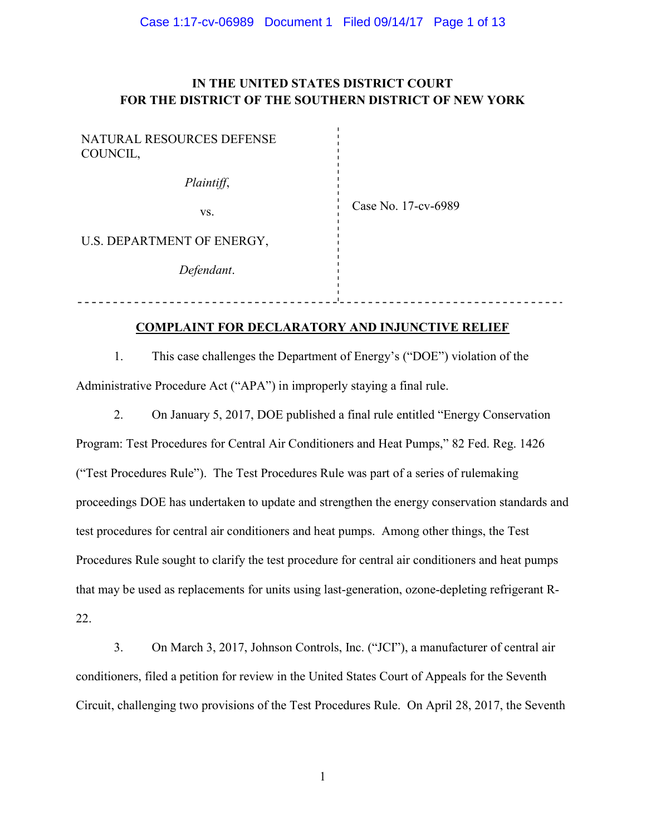# IN THE UNITED STATES DISTRICT COURT FOR THE DISTRICT OF THE SOUTHERN DISTRICT OF NEW YORK

| NATURAL RESOURCES DEFENSE<br>COUNCIL, |                     |
|---------------------------------------|---------------------|
| Plaintiff,                            |                     |
| VS.                                   | Case No. 17-cv-6989 |
| U.S. DEPARTMENT OF ENERGY,            |                     |
| Defendant.                            |                     |
|                                       |                     |

# COMPLAINT FOR DECLARATORY AND INJUNCTIVE RELIEF

1. This case challenges the Department of Energy's ("DOE") violation of the Administrative Procedure Act ("APA") in improperly staying a final rule.

2. On January 5, 2017, DOE published a final rule entitled "Energy Conservation Program: Test Procedures for Central Air Conditioners and Heat Pumps," 82 Fed. Reg. 1426 ("Test Procedures Rule"). The Test Procedures Rule was part of a series of rulemaking proceedings DOE has undertaken to update and strengthen the energy conservation standards and test procedures for central air conditioners and heat pumps. Among other things, the Test Procedures Rule sought to clarify the test procedure for central air conditioners and heat pumps that may be used as replacements for units using last-generation, ozone-depleting refrigerant R-22.

3. On March 3, 2017, Johnson Controls, Inc. ("JCI"), a manufacturer of central air conditioners, filed a petition for review in the United States Court of Appeals for the Seventh Circuit, challenging two provisions of the Test Procedures Rule. On April 28, 2017, the Seventh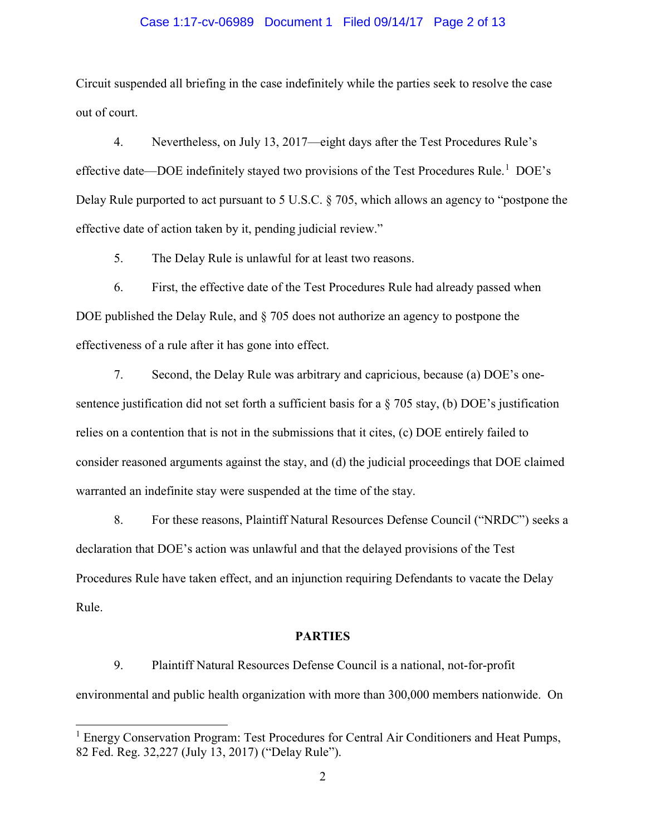#### Case 1:17-cv-06989 Document 1 Filed 09/14/17 Page 2 of 13

Circuit suspended all briefing in the case indefinitely while the parties seek to resolve the case out of court.

4. Nevertheless, on July 13, 2017—eight days after the Test Procedures Rule's effective date—DOE indefinitely stayed two provisions of the Test Procedures Rule.<sup>1</sup> DOE's Delay Rule purported to act pursuant to 5 U.S.C. § 705, which allows an agency to "postpone the effective date of action taken by it, pending judicial review."

5. The Delay Rule is unlawful for at least two reasons.

6. First, the effective date of the Test Procedures Rule had already passed when DOE published the Delay Rule, and § 705 does not authorize an agency to postpone the effectiveness of a rule after it has gone into effect.

7. Second, the Delay Rule was arbitrary and capricious, because (a) DOE's onesentence justification did not set forth a sufficient basis for a  $\S$  705 stay, (b) DOE's justification relies on a contention that is not in the submissions that it cites, (c) DOE entirely failed to consider reasoned arguments against the stay, and (d) the judicial proceedings that DOE claimed warranted an indefinite stay were suspended at the time of the stay.

8. For these reasons, Plaintiff Natural Resources Defense Council ("NRDC") seeks a declaration that DOE's action was unlawful and that the delayed provisions of the Test Procedures Rule have taken effect, and an injunction requiring Defendants to vacate the Delay Rule.

#### PARTIES

9. Plaintiff Natural Resources Defense Council is a national, not-for-profit environmental and public health organization with more than 300,000 members nationwide. On

<sup>&</sup>lt;sup>1</sup> Energy Conservation Program: Test Procedures for Central Air Conditioners and Heat Pumps, 82 Fed. Reg. 32,227 (July 13, 2017) ("Delay Rule").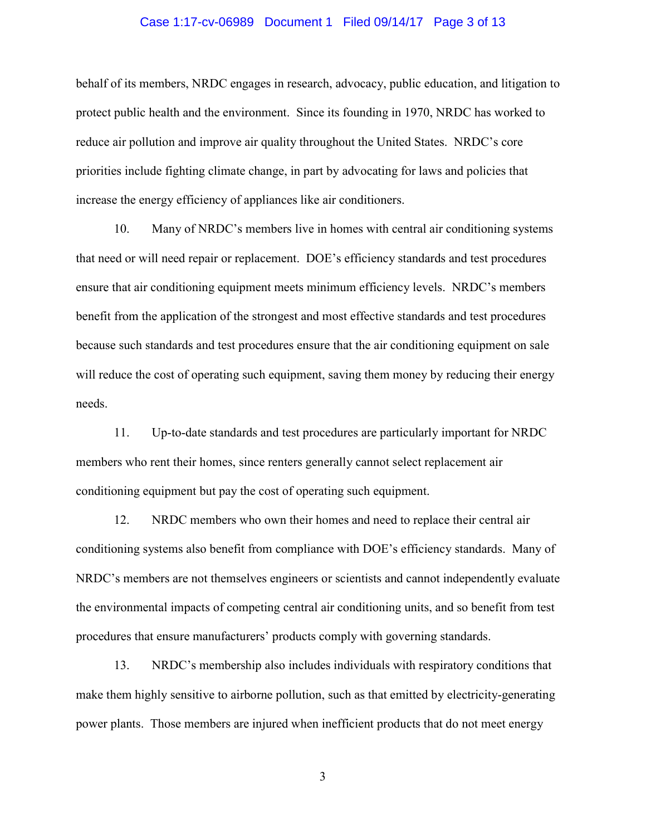#### Case 1:17-cv-06989 Document 1 Filed 09/14/17 Page 3 of 13

behalf of its members, NRDC engages in research, advocacy, public education, and litigation to protect public health and the environment. Since its founding in 1970, NRDC has worked to reduce air pollution and improve air quality throughout the United States. NRDC's core priorities include fighting climate change, in part by advocating for laws and policies that increase the energy efficiency of appliances like air conditioners.

10. Many of NRDC's members live in homes with central air conditioning systems that need or will need repair or replacement. DOE's efficiency standards and test procedures ensure that air conditioning equipment meets minimum efficiency levels. NRDC's members benefit from the application of the strongest and most effective standards and test procedures because such standards and test procedures ensure that the air conditioning equipment on sale will reduce the cost of operating such equipment, saving them money by reducing their energy needs.

11. Up-to-date standards and test procedures are particularly important for NRDC members who rent their homes, since renters generally cannot select replacement air conditioning equipment but pay the cost of operating such equipment.

12. NRDC members who own their homes and need to replace their central air conditioning systems also benefit from compliance with DOE's efficiency standards. Many of NRDC's members are not themselves engineers or scientists and cannot independently evaluate the environmental impacts of competing central air conditioning units, and so benefit from test procedures that ensure manufacturers' products comply with governing standards.

13. NRDC's membership also includes individuals with respiratory conditions that make them highly sensitive to airborne pollution, such as that emitted by electricity-generating power plants. Those members are injured when inefficient products that do not meet energy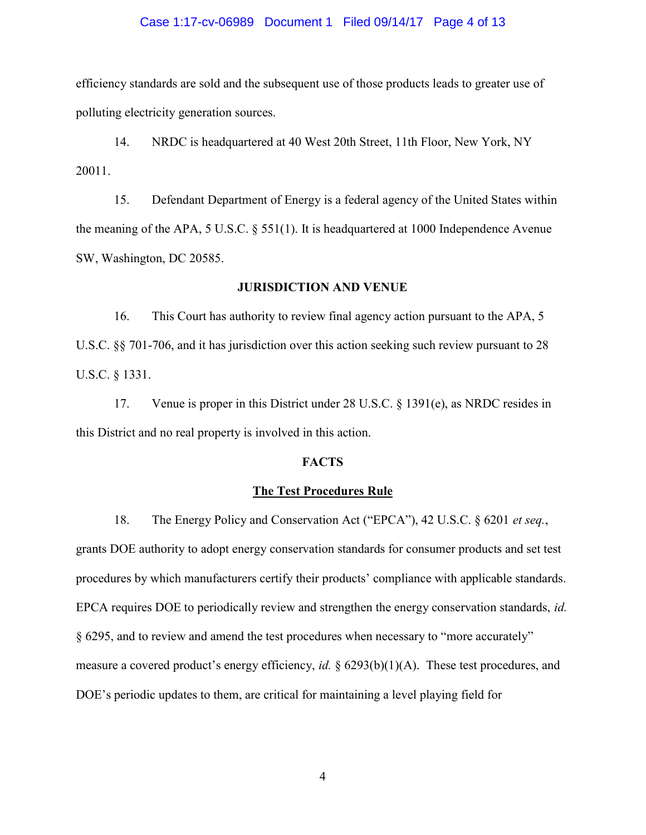#### Case 1:17-cv-06989 Document 1 Filed 09/14/17 Page 4 of 13

efficiency standards are sold and the subsequent use of those products leads to greater use of polluting electricity generation sources.

14. NRDC is headquartered at 40 West 20th Street, 11th Floor, New York, NY 20011.

15. Defendant Department of Energy is a federal agency of the United States within the meaning of the APA, 5 U.S.C. § 551(1). It is headquartered at 1000 Independence Avenue SW, Washington, DC 20585.

#### JURISDICTION AND VENUE

16. This Court has authority to review final agency action pursuant to the APA, 5 U.S.C. §§ 701-706, and it has jurisdiction over this action seeking such review pursuant to 28 U.S.C. § 1331.

17. Venue is proper in this District under 28 U.S.C. § 1391(e), as NRDC resides in this District and no real property is involved in this action.

## **FACTS**

#### The Test Procedures Rule

18. The Energy Policy and Conservation Act ("EPCA"), 42 U.S.C. § 6201 et seq., grants DOE authority to adopt energy conservation standards for consumer products and set test procedures by which manufacturers certify their products' compliance with applicable standards. EPCA requires DOE to periodically review and strengthen the energy conservation standards, id. § 6295, and to review and amend the test procedures when necessary to "more accurately" measure a covered product's energy efficiency, id.  $\S$  6293(b)(1)(A). These test procedures, and DOE's periodic updates to them, are critical for maintaining a level playing field for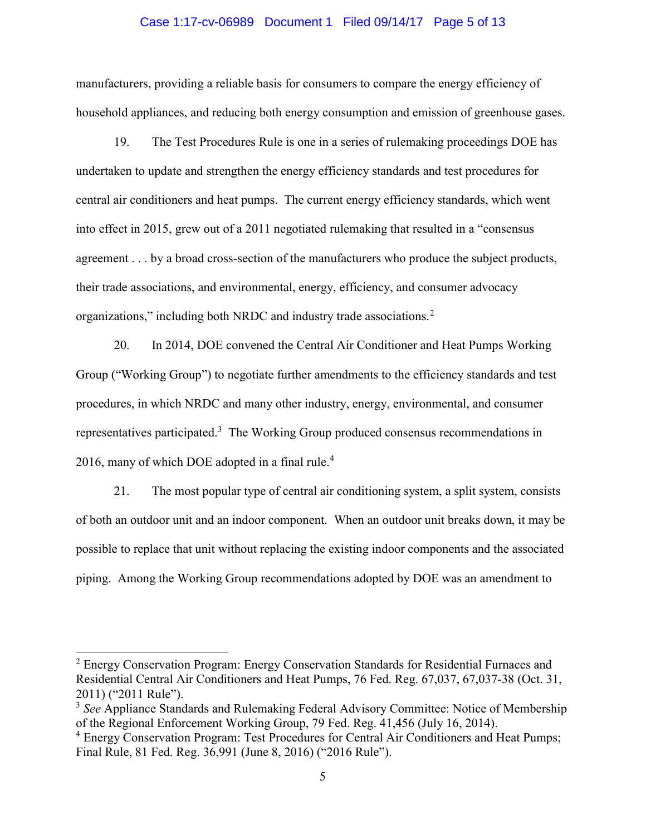#### Case 1:17-cv-06989 Document 1 Filed 09/14/17 Page 5 of 13

manufacturers, providing a reliable basis for consumers to compare the energy efficiency of household appliances, and reducing both energy consumption and emission of greenhouse gases.

19. The Test Procedures Rule is one in a series of rulemaking proceedings DOE has undertaken to update and strengthen the energy efficiency standards and test procedures for central air conditioners and heat pumps. The current energy efficiency standards, which went into effect in 2015, grew out of a 2011 negotiated rulemaking that resulted in a "consensus agreement . . . by a broad cross-section of the manufacturers who produce the subject products, their trade associations, and environmental, energy, efficiency, and consumer advocacy organizations," including both NRDC and industry trade associations. $2$ 

20. In 2014, DOE convened the Central Air Conditioner and Heat Pumps Working Group ("Working Group") to negotiate further amendments to the efficiency standards and test procedures, in which NRDC and many other industry, energy, environmental, and consumer representatives participated.<sup>3</sup> The Working Group produced consensus recommendations in 2016, many of which DOE adopted in a final rule.<sup>4</sup>

21. The most popular type of central air conditioning system, a split system, consists of both an outdoor unit and an indoor component. When an outdoor unit breaks down, it may be possible to replace that unit without replacing the existing indoor components and the associated piping. Among the Working Group recommendations adopted by DOE was an amendment to

<sup>&</sup>lt;sup>2</sup> Energy Conservation Program: Energy Conservation Standards for Residential Furnaces and Residential Central Air Conditioners and Heat Pumps, 76 Fed. Reg. 67,037, 67,037-38 (Oct. 31, 2011) ("2011 Rule").

 $3$  See Appliance Standards and Rulemaking Federal Advisory Committee: Notice of Membership of the Regional Enforcement Working Group, 79 Fed. Reg. 41,456 (July 16, 2014).

<sup>&</sup>lt;sup>4</sup> Energy Conservation Program: Test Procedures for Central Air Conditioners and Heat Pumps; Final Rule, 81 Fed. Reg. 36,991 (June 8, 2016) ("2016 Rule").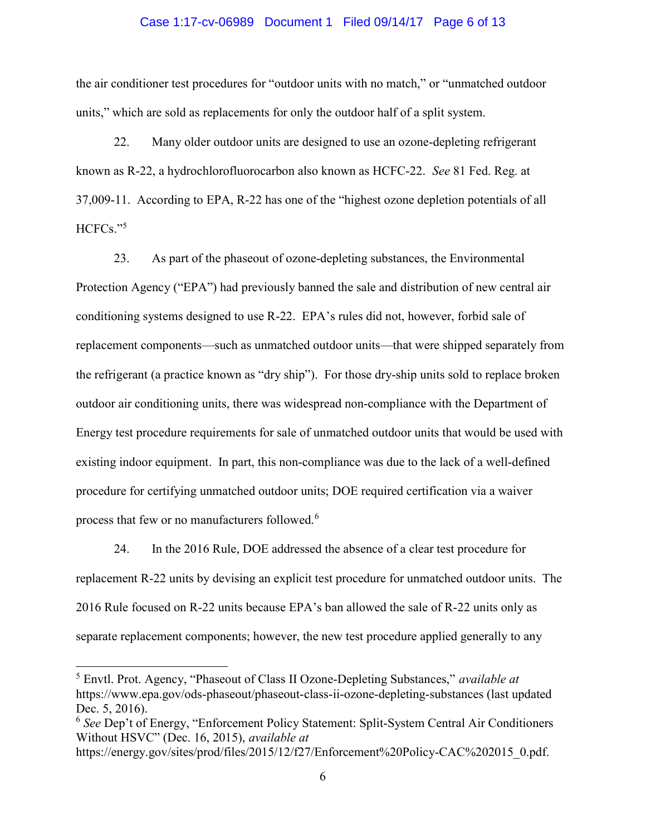#### Case 1:17-cv-06989 Document 1 Filed 09/14/17 Page 6 of 13

the air conditioner test procedures for "outdoor units with no match," or "unmatched outdoor units," which are sold as replacements for only the outdoor half of a split system.

22. Many older outdoor units are designed to use an ozone-depleting refrigerant known as R-22, a hydrochlorofluorocarbon also known as HCFC-22. See 81 Fed. Reg. at 37,009-11. According to EPA, R-22 has one of the "highest ozone depletion potentials of all HCFCs."<sup>5</sup>

23. As part of the phaseout of ozone-depleting substances, the Environmental Protection Agency ("EPA") had previously banned the sale and distribution of new central air conditioning systems designed to use R-22. EPA's rules did not, however, forbid sale of replacement components—such as unmatched outdoor units—that were shipped separately from the refrigerant (a practice known as "dry ship"). For those dry-ship units sold to replace broken outdoor air conditioning units, there was widespread non-compliance with the Department of Energy test procedure requirements for sale of unmatched outdoor units that would be used with existing indoor equipment. In part, this non-compliance was due to the lack of a well-defined procedure for certifying unmatched outdoor units; DOE required certification via a waiver process that few or no manufacturers followed.<sup>6</sup>

24. In the 2016 Rule, DOE addressed the absence of a clear test procedure for replacement R-22 units by devising an explicit test procedure for unmatched outdoor units. The 2016 Rule focused on R-22 units because EPA's ban allowed the sale of R-22 units only as separate replacement components; however, the new test procedure applied generally to any

<sup>&</sup>lt;sup>5</sup> Envtl. Prot. Agency, "Phaseout of Class II Ozone-Depleting Substances," available at https://www.epa.gov/ods-phaseout/phaseout-class-ii-ozone-depleting-substances (last updated Dec. 5, 2016).

<sup>6</sup> See Dep't of Energy, "Enforcement Policy Statement: Split-System Central Air Conditioners Without HSVC" (Dec. 16, 2015), available at

https://energy.gov/sites/prod/files/2015/12/f27/Enforcement%20Policy-CAC%202015\_0.pdf.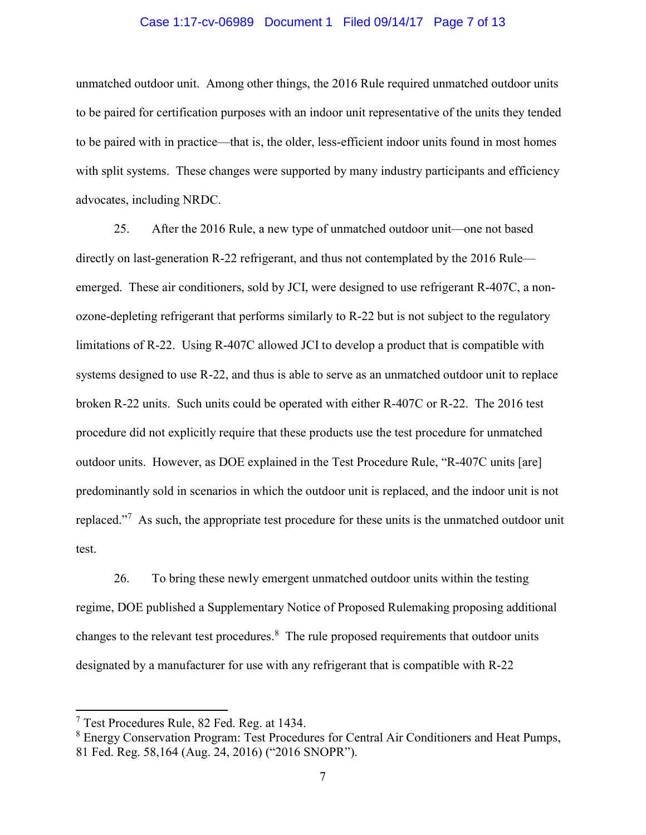#### Case 1:17-cv-06989 Document 1 Filed 09/14/17 Page 7 of 13

unmatched outdoor unit. Among other things, the 2016 Rule required unmatched outdoor units to be paired for certification purposes with an indoor unit representative of the units they tended to be paired with in practice—that is, the older, less-efficient indoor units found in most homes with split systems. These changes were supported by many industry participants and efficiency advocates, including NRDC.

25. After the 2016 Rule, a new type of unmatched outdoor unit—one not based directly on last-generation R-22 refrigerant, and thus not contemplated by the 2016 Rule emerged. These air conditioners, sold by JCI, were designed to use refrigerant R-407C, a nonozone-depleting refrigerant that performs similarly to R-22 but is not subject to the regulatory limitations of R-22. Using R-407C allowed JCI to develop a product that is compatible with systems designed to use R-22, and thus is able to serve as an unmatched outdoor unit to replace broken R-22 units. Such units could be operated with either R-407C or R-22. The 2016 test procedure did not explicitly require that these products use the test procedure for unmatched outdoor units. However, as DOE explained in the Test Procedure Rule, "R-407C units [are] predominantly sold in scenarios in which the outdoor unit is replaced, and the indoor unit is not replaced."<sup>7</sup> As such, the appropriate test procedure for these units is the unmatched outdoor unit test.

26. To bring these newly emergent unmatched outdoor units within the testing regime, DOE published a Supplementary Notice of Proposed Rulemaking proposing additional changes to the relevant test procedures. $8$  The rule proposed requirements that outdoor units designated by a manufacturer for use with any refrigerant that is compatible with R-22

 $\overline{a}$ 

<sup>7</sup> Test Procedures Rule, 82 Fed. Reg. at 1434.

<sup>&</sup>lt;sup>8</sup> Energy Conservation Program: Test Procedures for Central Air Conditioners and Heat Pumps, 81 Fed. Reg. 58,164 (Aug. 24, 2016) ("2016 SNOPR").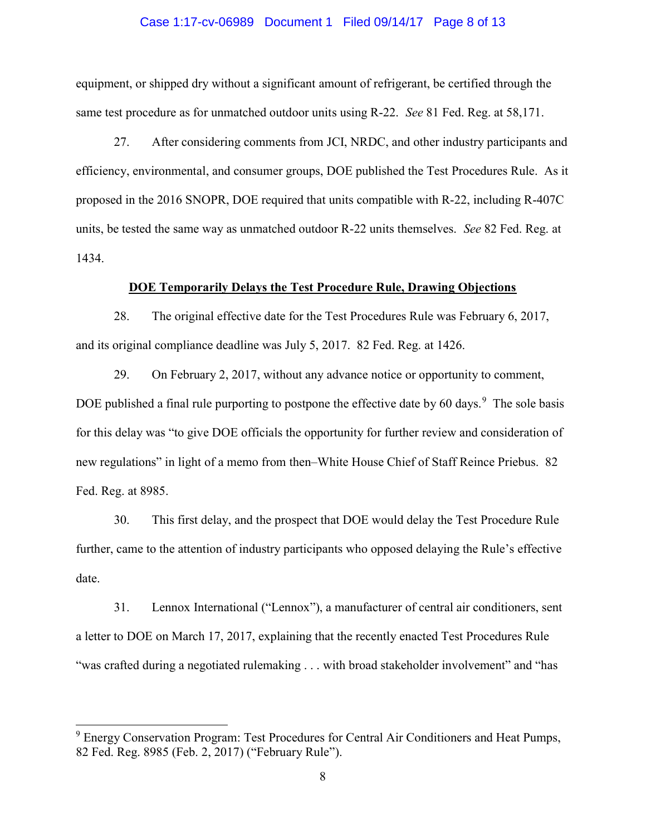#### Case 1:17-cv-06989 Document 1 Filed 09/14/17 Page 8 of 13

equipment, or shipped dry without a significant amount of refrigerant, be certified through the same test procedure as for unmatched outdoor units using R-22. See 81 Fed. Reg. at 58,171.

27. After considering comments from JCI, NRDC, and other industry participants and efficiency, environmental, and consumer groups, DOE published the Test Procedures Rule. As it proposed in the 2016 SNOPR, DOE required that units compatible with R-22, including R-407C units, be tested the same way as unmatched outdoor R-22 units themselves. See 82 Fed. Reg. at 1434.

## DOE Temporarily Delays the Test Procedure Rule, Drawing Objections

28. The original effective date for the Test Procedures Rule was February 6, 2017, and its original compliance deadline was July 5, 2017. 82 Fed. Reg. at 1426.

29. On February 2, 2017, without any advance notice or opportunity to comment, DOE published a final rule purporting to postpone the effective date by 60 days.<sup>9</sup> The sole basis for this delay was "to give DOE officials the opportunity for further review and consideration of new regulations" in light of a memo from then–White House Chief of Staff Reince Priebus. 82 Fed. Reg. at 8985.

30. This first delay, and the prospect that DOE would delay the Test Procedure Rule further, came to the attention of industry participants who opposed delaying the Rule's effective date.

31. Lennox International ("Lennox"), a manufacturer of central air conditioners, sent a letter to DOE on March 17, 2017, explaining that the recently enacted Test Procedures Rule "was crafted during a negotiated rulemaking . . . with broad stakeholder involvement" and "has

<sup>&</sup>lt;sup>9</sup> Energy Conservation Program: Test Procedures for Central Air Conditioners and Heat Pumps, 82 Fed. Reg. 8985 (Feb. 2, 2017) ("February Rule").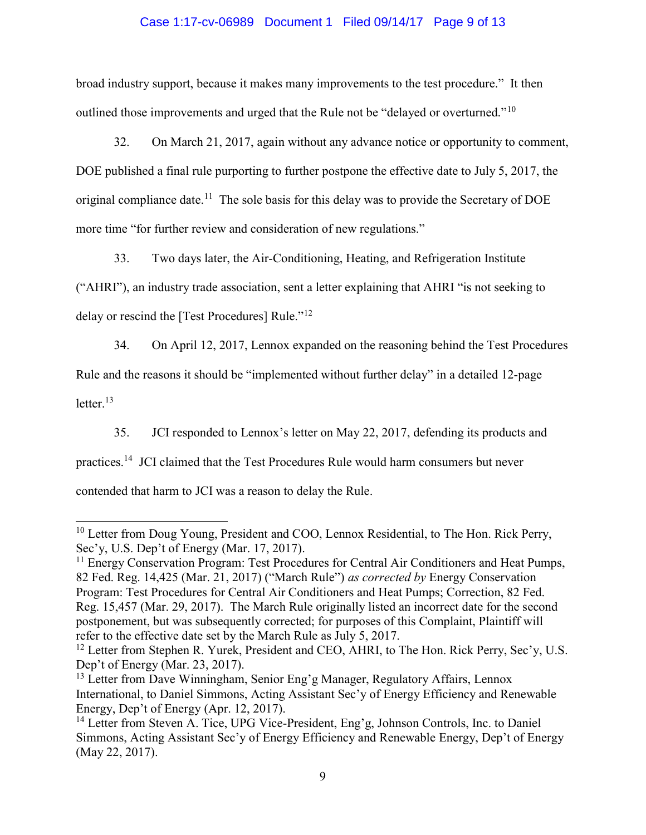# Case 1:17-cv-06989 Document 1 Filed 09/14/17 Page 9 of 13

broad industry support, because it makes many improvements to the test procedure." It then outlined those improvements and urged that the Rule not be "delayed or overturned."<sup>10</sup>

32. On March 21, 2017, again without any advance notice or opportunity to comment, DOE published a final rule purporting to further postpone the effective date to July 5, 2017, the original compliance date.<sup>11</sup> The sole basis for this delay was to provide the Secretary of DOE more time "for further review and consideration of new regulations."

33. Two days later, the Air-Conditioning, Heating, and Refrigeration Institute ("AHRI"), an industry trade association, sent a letter explaining that AHRI "is not seeking to delay or rescind the [Test Procedures] Rule."<sup>12</sup>

34. On April 12, 2017, Lennox expanded on the reasoning behind the Test Procedures

Rule and the reasons it should be "implemented without further delay" in a detailed 12-page

letter. $13$ 

35. JCI responded to Lennox's letter on May 22, 2017, defending its products and

practices.<sup>14</sup> JCI claimed that the Test Procedures Rule would harm consumers but never

contended that harm to JCI was a reason to delay the Rule.

<sup>&</sup>lt;sup>10</sup> Letter from Doug Young, President and COO, Lennox Residential, to The Hon. Rick Perry, Sec'y, U.S. Dep't of Energy (Mar. 17, 2017).

 $11$  Energy Conservation Program: Test Procedures for Central Air Conditioners and Heat Pumps, 82 Fed. Reg. 14,425 (Mar. 21, 2017) ("March Rule") as corrected by Energy Conservation Program: Test Procedures for Central Air Conditioners and Heat Pumps; Correction, 82 Fed. Reg. 15,457 (Mar. 29, 2017). The March Rule originally listed an incorrect date for the second postponement, but was subsequently corrected; for purposes of this Complaint, Plaintiff will refer to the effective date set by the March Rule as July 5, 2017.

<sup>&</sup>lt;sup>12</sup> Letter from Stephen R. Yurek, President and CEO, AHRI, to The Hon. Rick Perry, Sec'y, U.S. Dep't of Energy (Mar. 23, 2017).

<sup>&</sup>lt;sup>13</sup> Letter from Dave Winningham, Senior Eng'g Manager, Regulatory Affairs, Lennox International, to Daniel Simmons, Acting Assistant Sec'y of Energy Efficiency and Renewable Energy, Dep't of Energy (Apr. 12, 2017).

<sup>&</sup>lt;sup>14</sup> Letter from Steven A. Tice, UPG Vice-President, Eng'g, Johnson Controls, Inc. to Daniel Simmons, Acting Assistant Sec'y of Energy Efficiency and Renewable Energy, Dep't of Energy (May 22, 2017).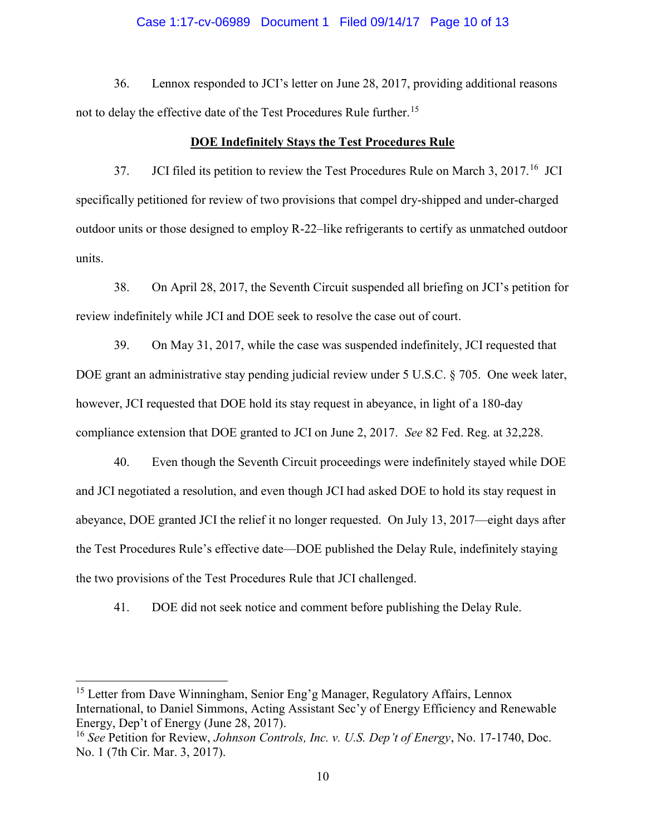#### Case 1:17-cv-06989 Document 1 Filed 09/14/17 Page 10 of 13

36. Lennox responded to JCI's letter on June 28, 2017, providing additional reasons not to delay the effective date of the Test Procedures Rule further.<sup>15</sup>

#### DOE Indefinitely Stays the Test Procedures Rule

37. JCI filed its petition to review the Test Procedures Rule on March 3, 2017.<sup>16</sup> JCI specifically petitioned for review of two provisions that compel dry-shipped and under-charged outdoor units or those designed to employ R-22–like refrigerants to certify as unmatched outdoor units.

38. On April 28, 2017, the Seventh Circuit suspended all briefing on JCI's petition for review indefinitely while JCI and DOE seek to resolve the case out of court.

39. On May 31, 2017, while the case was suspended indefinitely, JCI requested that DOE grant an administrative stay pending judicial review under 5 U.S.C. § 705. One week later, however, JCI requested that DOE hold its stay request in abeyance, in light of a 180-day compliance extension that DOE granted to JCI on June 2, 2017. See 82 Fed. Reg. at 32,228.

40. Even though the Seventh Circuit proceedings were indefinitely stayed while DOE and JCI negotiated a resolution, and even though JCI had asked DOE to hold its stay request in abeyance, DOE granted JCI the relief it no longer requested. On July 13, 2017—eight days after the Test Procedures Rule's effective date—DOE published the Delay Rule, indefinitely staying the two provisions of the Test Procedures Rule that JCI challenged.

41. DOE did not seek notice and comment before publishing the Delay Rule.

<sup>&</sup>lt;sup>15</sup> Letter from Dave Winningham, Senior Eng'g Manager, Regulatory Affairs, Lennox International, to Daniel Simmons, Acting Assistant Sec'y of Energy Efficiency and Renewable Energy, Dep't of Energy (June 28, 2017).

<sup>&</sup>lt;sup>16</sup> See Petition for Review, *Johnson Controls, Inc. v. U.S. Dep't of Energy*, No. 17-1740, Doc. No. 1 (7th Cir. Mar. 3, 2017).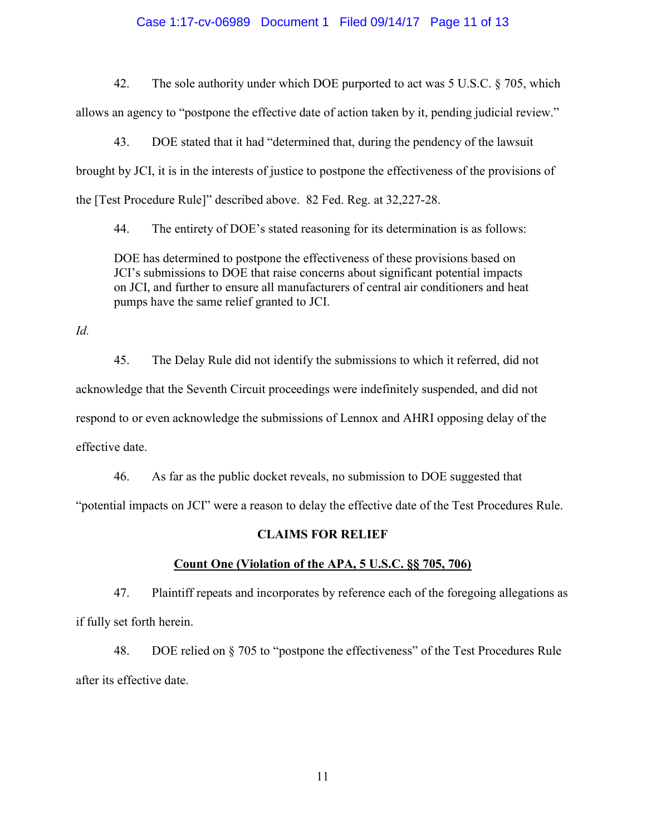### Case 1:17-cv-06989 Document 1 Filed 09/14/17 Page 11 of 13

42. The sole authority under which DOE purported to act was 5 U.S.C. § 705, which allows an agency to "postpone the effective date of action taken by it, pending judicial review."

43. DOE stated that it had "determined that, during the pendency of the lawsuit brought by JCI, it is in the interests of justice to postpone the effectiveness of the provisions of the [Test Procedure Rule]" described above. 82 Fed. Reg. at 32,227-28.

44. The entirety of DOE's stated reasoning for its determination is as follows:

DOE has determined to postpone the effectiveness of these provisions based on JCI's submissions to DOE that raise concerns about significant potential impacts on JCI, and further to ensure all manufacturers of central air conditioners and heat pumps have the same relief granted to JCI.

Id.

45. The Delay Rule did not identify the submissions to which it referred, did not acknowledge that the Seventh Circuit proceedings were indefinitely suspended, and did not respond to or even acknowledge the submissions of Lennox and AHRI opposing delay of the effective date.

46. As far as the public docket reveals, no submission to DOE suggested that "potential impacts on JCI" were a reason to delay the effective date of the Test Procedures Rule.

# CLAIMS FOR RELIEF

## Count One (Violation of the APA, 5 U.S.C. §§ 705, 706)

47. Plaintiff repeats and incorporates by reference each of the foregoing allegations as if fully set forth herein.

48. DOE relied on § 705 to "postpone the effectiveness" of the Test Procedures Rule after its effective date.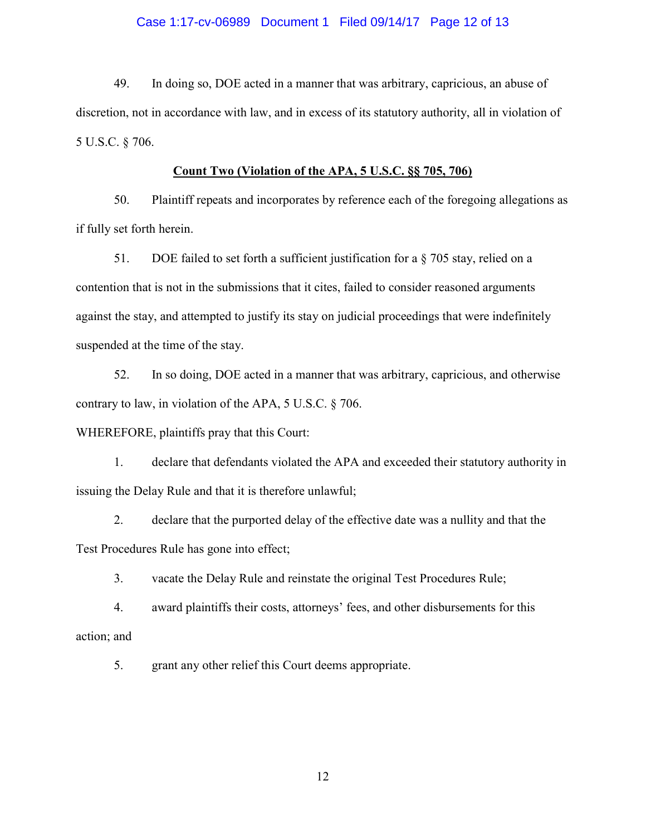## Case 1:17-cv-06989 Document 1 Filed 09/14/17 Page 12 of 13

49. In doing so, DOE acted in a manner that was arbitrary, capricious, an abuse of discretion, not in accordance with law, and in excess of its statutory authority, all in violation of 5 U.S.C. § 706.

## Count Two (Violation of the APA, 5 U.S.C. §§ 705, 706)

50. Plaintiff repeats and incorporates by reference each of the foregoing allegations as if fully set forth herein.

51. DOE failed to set forth a sufficient justification for a  $\S$  705 stay, relied on a contention that is not in the submissions that it cites, failed to consider reasoned arguments against the stay, and attempted to justify its stay on judicial proceedings that were indefinitely suspended at the time of the stay.

52. In so doing, DOE acted in a manner that was arbitrary, capricious, and otherwise contrary to law, in violation of the APA, 5 U.S.C. § 706.

# WHEREFORE, plaintiffs pray that this Court:

1. declare that defendants violated the APA and exceeded their statutory authority in issuing the Delay Rule and that it is therefore unlawful;

2. declare that the purported delay of the effective date was a nullity and that the Test Procedures Rule has gone into effect;

3. vacate the Delay Rule and reinstate the original Test Procedures Rule;

4. award plaintiffs their costs, attorneys' fees, and other disbursements for this action; and

5. grant any other relief this Court deems appropriate.